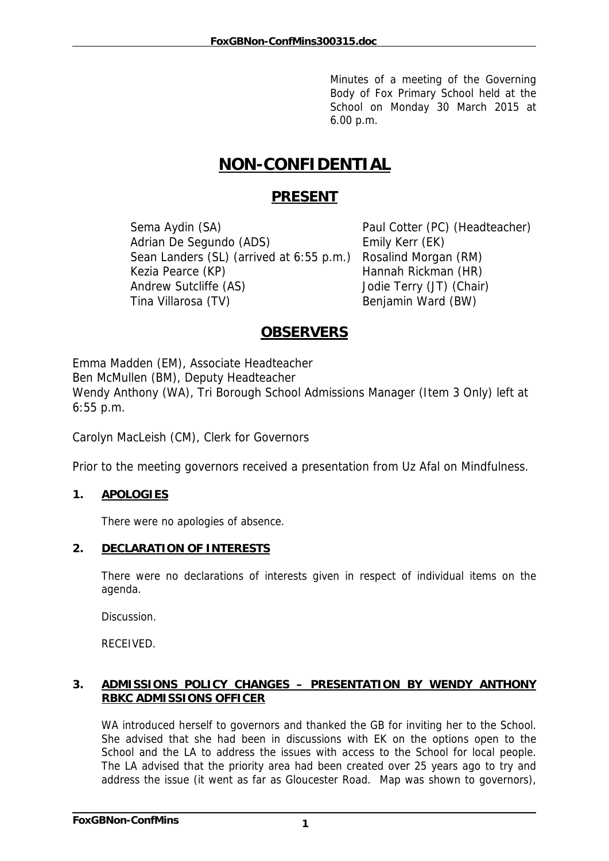Minutes of a meeting of the Governing Body of Fox Primary School held at the School on Monday 30 March 2015 at 6.00 p.m.

# **NON-CONFIDENTIAL**

# **PRESENT**

Sema Aydin (SA) Paul Cotter (PC) (Headteacher) Adrian De Segundo (ADS) Emily Kerr (EK) Sean Landers (SL) (arrived at 6:55 p.m.) Rosalind Morgan (RM) Kezia Pearce (KP) Hannah Rickman (HR) Andrew Sutcliffe (AS) Jodie Terry (JT) (Chair) Tina Villarosa (TV) Benjamin Ward (BW)

# **OBSERVERS**

Emma Madden (EM), Associate Headteacher Ben McMullen (BM), Deputy Headteacher Wendy Anthony (WA), Tri Borough School Admissions Manager (Item 3 Only) left at 6:55 p.m.

Carolyn MacLeish (CM), Clerk for Governors

Prior to the meeting governors received a presentation from Uz Afal on Mindfulness.

## **1. APOLOGIES**

There were no apologies of absence.

#### **2. DECLARATION OF INTERESTS**

There were no declarations of interests given in respect of individual items on the agenda.

Discussion.

RECEIVED.

#### **3. ADMISSIONS POLICY CHANGES – PRESENTATION BY WENDY ANTHONY RBKC ADMISSIONS OFFICER**

WA introduced herself to governors and thanked the GB for inviting her to the School. She advised that she had been in discussions with EK on the options open to the School and the LA to address the issues with access to the School for local people. The LA advised that the priority area had been created over 25 years ago to try and address the issue (it went as far as Gloucester Road. Map was shown to governors),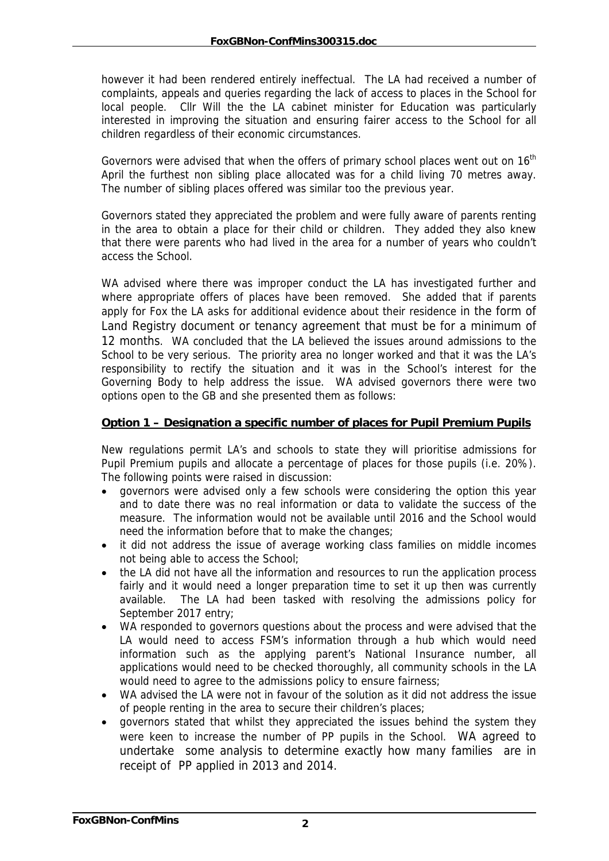however it had been rendered entirely ineffectual. The LA had received a number of complaints, appeals and queries regarding the lack of access to places in the School for local people. Cllr Will the the LA cabinet minister for Education was particularly interested in improving the situation and ensuring fairer access to the School for all children regardless of their economic circumstances.

Governors were advised that when the offers of primary school places went out on  $16<sup>th</sup>$ April the furthest non sibling place allocated was for a child living 70 metres away. The number of sibling places offered was similar too the previous year.

Governors stated they appreciated the problem and were fully aware of parents renting in the area to obtain a place for their child or children. They added they also knew that there were parents who had lived in the area for a number of years who couldn't access the School.

WA advised where there was improper conduct the LA has investigated further and where appropriate offers of places have been removed. She added that if parents apply for Fox the LA asks for additional evidence about their residence in the form of Land Registry document or tenancy agreement that must be for a minimum of 12 months. WA concluded that the LA believed the issues around admissions to the School to be very serious. The priority area no longer worked and that it was the LA's responsibility to rectify the situation and it was in the School's interest for the Governing Body to help address the issue. WA advised governors there were two options open to the GB and she presented them as follows:

#### **Option 1 – Designation a specific number of places for Pupil Premium Pupils**

New regulations permit LA's and schools to state they will prioritise admissions for Pupil Premium pupils and allocate a percentage of places for those pupils (i.e. 20%). The following points were raised in discussion:

- governors were advised only a few schools were considering the option this year and to date there was no real information or data to validate the success of the measure. The information would not be available until 2016 and the School would need the information before that to make the changes;
- it did not address the issue of average working class families on middle incomes not being able to access the School;
- the LA did not have all the information and resources to run the application process fairly and it would need a longer preparation time to set it up then was currently available. The LA had been tasked with resolving the admissions policy for September 2017 entry;
- WA responded to governors questions about the process and were advised that the LA would need to access FSM's information through a hub which would need information such as the applying parent's National Insurance number, all applications would need to be checked thoroughly, all community schools in the LA would need to agree to the admissions policy to ensure fairness;
- WA advised the LA were not in favour of the solution as it did not address the issue of people renting in the area to secure their children's places;
- governors stated that whilst they appreciated the issues behind the system they were keen to increase the number of PP pupils in the School. WA agreed to undertake some analysis to determine exactly how many families are in receipt of PP applied in 2013 and 2014.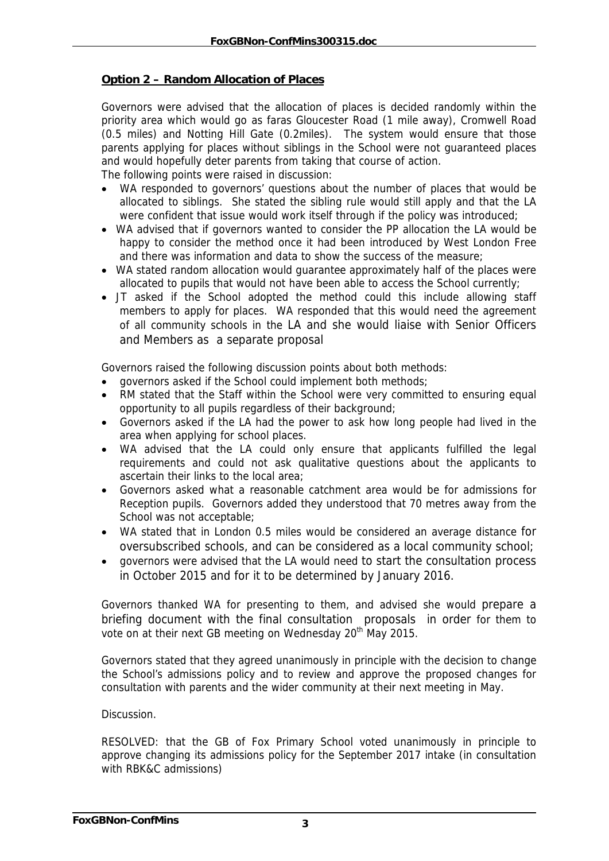#### **Option 2 – Random Allocation of Places**

Governors were advised that the allocation of places is decided randomly within the priority area which would go as faras Gloucester Road (1 mile away), Cromwell Road (0.5 miles) and Notting Hill Gate (0.2miles). The system would ensure that those parents applying for places without siblings in the School were not guaranteed places and would hopefully deter parents from taking that course of action.

The following points were raised in discussion:

- WA responded to governors' questions about the number of places that would be allocated to siblings. She stated the sibling rule would still apply and that the LA were confident that issue would work itself through if the policy was introduced;
- WA advised that if governors wanted to consider the PP allocation the LA would be happy to consider the method once it had been introduced by West London Free and there was information and data to show the success of the measure;
- WA stated random allocation would guarantee approximately half of the places were allocated to pupils that would not have been able to access the School currently;
- JT asked if the School adopted the method could this include allowing staff members to apply for places. WA responded that this would need the agreement of all community schools in the LA and she would liaise with Senior Officers and Members as a separate proposal

Governors raised the following discussion points about both methods:

- governors asked if the School could implement both methods;
- RM stated that the Staff within the School were very committed to ensuring equal opportunity to all pupils regardless of their background;
- Governors asked if the LA had the power to ask how long people had lived in the area when applying for school places.
- WA advised that the LA could only ensure that applicants fulfilled the legal requirements and could not ask qualitative questions about the applicants to ascertain their links to the local area;
- Governors asked what a reasonable catchment area would be for admissions for Reception pupils. Governors added they understood that 70 metres away from the School was not acceptable;
- WA stated that in London 0.5 miles would be considered an average distance for oversubscribed schools, and can be considered as a local community school;
- governors were advised that the LA would need to start the consultation process in October 2015 and for it to be determined by January 2016.

Governors thanked WA for presenting to them, and advised she would prepare a briefing document with the final consultation proposals in order for them to vote on at their next GB meeting on Wednesday 20<sup>th</sup> May 2015.

Governors stated that they agreed unanimously in principle with the decision to change the School's admissions policy and to review and approve the proposed changes for consultation with parents and the wider community at their next meeting in May.

#### **Discussion**

RESOLVED: that the GB of Fox Primary School voted unanimously in principle to approve changing its admissions policy for the September 2017 intake (in consultation with RBK&C admissions)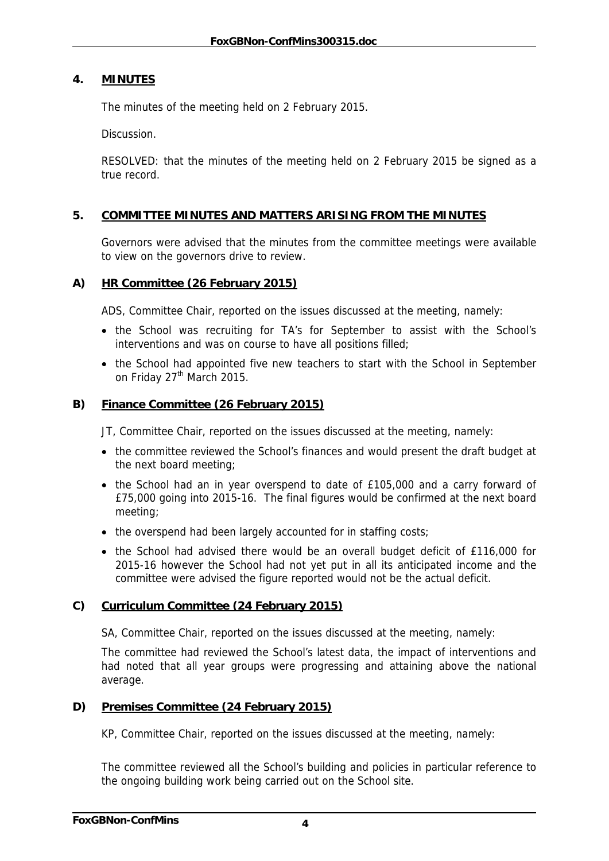#### **4. MINUTES**

The minutes of the meeting held on 2 February 2015.

Discussion.

RESOLVED: that the minutes of the meeting held on 2 February 2015 be signed as a true record.

#### **5. COMMITTEE MINUTES AND MATTERS ARISING FROM THE MINUTES**

Governors were advised that the minutes from the committee meetings were available to view on the governors drive to review.

#### **A) HR Committee (26 February 2015)**

ADS, Committee Chair, reported on the issues discussed at the meeting, namely:

- the School was recruiting for TA's for September to assist with the School's interventions and was on course to have all positions filled;
- the School had appointed five new teachers to start with the School in September on Friday 27<sup>th</sup> March 2015.

#### **B) Finance Committee (26 February 2015)**

JT, Committee Chair, reported on the issues discussed at the meeting, namely:

- the committee reviewed the School's finances and would present the draft budget at the next board meeting;
- the School had an in year overspend to date of £105,000 and a carry forward of £75,000 going into 2015-16. The final figures would be confirmed at the next board meeting;
- the overspend had been largely accounted for in staffing costs;
- the School had advised there would be an overall budget deficit of £116,000 for 2015-16 however the School had not yet put in all its anticipated income and the committee were advised the figure reported would not be the actual deficit.

#### **C) Curriculum Committee (24 February 2015)**

SA, Committee Chair, reported on the issues discussed at the meeting, namely:

The committee had reviewed the School's latest data, the impact of interventions and had noted that all year groups were progressing and attaining above the national average.

#### **D) Premises Committee (24 February 2015)**

KP, Committee Chair, reported on the issues discussed at the meeting, namely:

The committee reviewed all the School's building and policies in particular reference to the ongoing building work being carried out on the School site.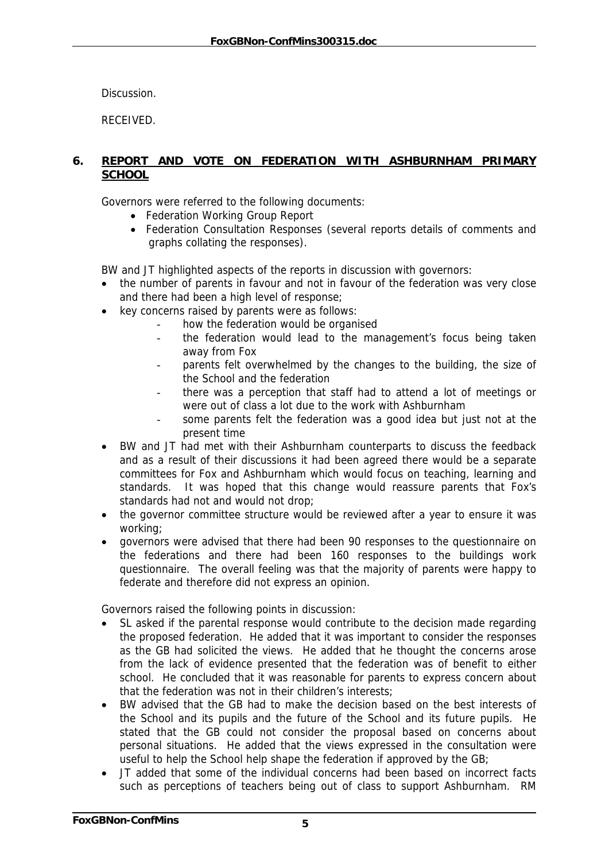Discussion.

RECEIVED.

#### **6. REPORT AND VOTE ON FEDERATION WITH ASHBURNHAM PRIMARY SCHOOL**

Governors were referred to the following documents:

- Federation Working Group Report
- Federation Consultation Responses (several reports details of comments and graphs collating the responses).

BW and JT highlighted aspects of the reports in discussion with governors:

- the number of parents in favour and not in favour of the federation was very close and there had been a high level of response;
- key concerns raised by parents were as follows:
	- how the federation would be organised
	- the federation would lead to the management's focus being taken away from Fox
	- parents felt overwhelmed by the changes to the building, the size of the School and the federation
	- there was a perception that staff had to attend a lot of meetings or were out of class a lot due to the work with Ashburnham
	- some parents felt the federation was a good idea but just not at the present time
- BW and JT had met with their Ashburnham counterparts to discuss the feedback and as a result of their discussions it had been agreed there would be a separate committees for Fox and Ashburnham which would focus on teaching, learning and standards. It was hoped that this change would reassure parents that Fox's standards had not and would not drop;
- the governor committee structure would be reviewed after a year to ensure it was working;
- governors were advised that there had been 90 responses to the questionnaire on the federations and there had been 160 responses to the buildings work questionnaire. The overall feeling was that the majority of parents were happy to federate and therefore did not express an opinion.

Governors raised the following points in discussion:

- SL asked if the parental response would contribute to the decision made regarding the proposed federation. He added that it was important to consider the responses as the GB had solicited the views. He added that he thought the concerns arose from the lack of evidence presented that the federation was of benefit to either school. He concluded that it was reasonable for parents to express concern about that the federation was not in their children's interests;
- BW advised that the GB had to make the decision based on the best interests of the School and its pupils and the future of the School and its future pupils. He stated that the GB could not consider the proposal based on concerns about personal situations. He added that the views expressed in the consultation were useful to help the School help shape the federation if approved by the GB;
- JT added that some of the individual concerns had been based on incorrect facts such as perceptions of teachers being out of class to support Ashburnham. RM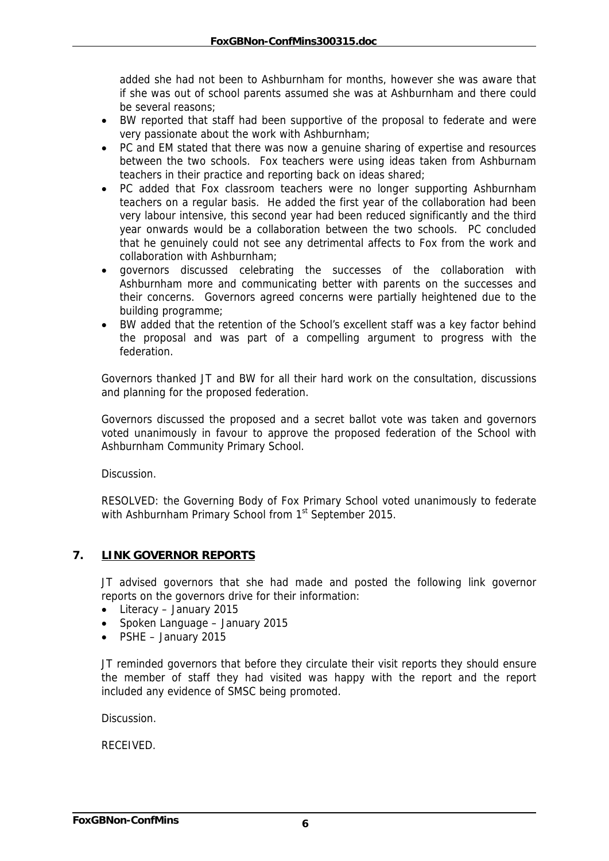added she had not been to Ashburnham for months, however she was aware that if she was out of school parents assumed she was at Ashburnham and there could be several reasons;

- BW reported that staff had been supportive of the proposal to federate and were very passionate about the work with Ashburnham;
- PC and EM stated that there was now a genuine sharing of expertise and resources between the two schools. Fox teachers were using ideas taken from Ashburnam teachers in their practice and reporting back on ideas shared;
- PC added that Fox classroom teachers were no longer supporting Ashburnham teachers on a regular basis. He added the first year of the collaboration had been very labour intensive, this second year had been reduced significantly and the third year onwards would be a collaboration between the two schools. PC concluded that he genuinely could not see any detrimental affects to Fox from the work and collaboration with Ashburnham;
- governors discussed celebrating the successes of the collaboration with Ashburnham more and communicating better with parents on the successes and their concerns. Governors agreed concerns were partially heightened due to the building programme;
- BW added that the retention of the School's excellent staff was a key factor behind the proposal and was part of a compelling argument to progress with the federation.

Governors thanked JT and BW for all their hard work on the consultation, discussions and planning for the proposed federation.

Governors discussed the proposed and a secret ballot vote was taken and governors voted unanimously in favour to approve the proposed federation of the School with Ashburnham Community Primary School.

Discussion.

RESOLVED: the Governing Body of Fox Primary School voted unanimously to federate with Ashburnham Primary School from 1<sup>st</sup> September 2015.

#### **7. LINK GOVERNOR REPORTS**

JT advised governors that she had made and posted the following link governor reports on the governors drive for their information:

- Literacy January 2015
- Spoken Language January 2015
- PSHE January 2015

JT reminded governors that before they circulate their visit reports they should ensure the member of staff they had visited was happy with the report and the report included any evidence of SMSC being promoted.

Discussion.

RECEIVED.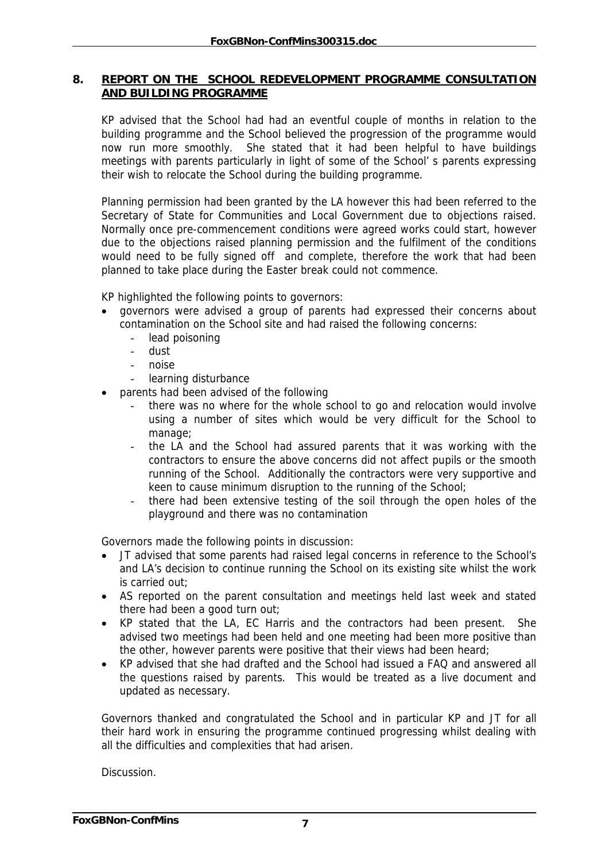#### **8. REPORT ON THE SCHOOL REDEVELOPMENT PROGRAMME CONSULTATION AND BUILDING PROGRAMME**

KP advised that the School had had an eventful couple of months in relation to the building programme and the School believed the progression of the programme would now run more smoothly. She stated that it had been helpful to have buildings meetings with parents particularly in light of some of the School' s parents expressing their wish to relocate the School during the building programme.

Planning permission had been granted by the LA however this had been referred to the Secretary of State for Communities and Local Government due to objections raised. Normally once pre-commencement conditions were agreed works could start, however due to the objections raised planning permission and the fulfilment of the conditions would need to be fully signed off and complete, therefore the work that had been planned to take place during the Easter break could not commence.

KP highlighted the following points to governors:

- governors were advised a group of parents had expressed their concerns about contamination on the School site and had raised the following concerns:
	- lead poisoning
	- dust
	- noise
	- learning disturbance
- parents had been advised of the following
	- there was no where for the whole school to go and relocation would involve using a number of sites which would be very difficult for the School to manage;
	- the LA and the School had assured parents that it was working with the contractors to ensure the above concerns did not affect pupils or the smooth running of the School. Additionally the contractors were very supportive and keen to cause minimum disruption to the running of the School;
	- there had been extensive testing of the soil through the open holes of the playground and there was no contamination

Governors made the following points in discussion:

- JT advised that some parents had raised legal concerns in reference to the School's and LA's decision to continue running the School on its existing site whilst the work is carried out;
- AS reported on the parent consultation and meetings held last week and stated there had been a good turn out;
- KP stated that the LA, EC Harris and the contractors had been present. She advised two meetings had been held and one meeting had been more positive than the other, however parents were positive that their views had been heard;
- KP advised that she had drafted and the School had issued a FAQ and answered all the questions raised by parents. This would be treated as a live document and updated as necessary.

Governors thanked and congratulated the School and in particular KP and JT for all their hard work in ensuring the programme continued progressing whilst dealing with all the difficulties and complexities that had arisen.

Discussion.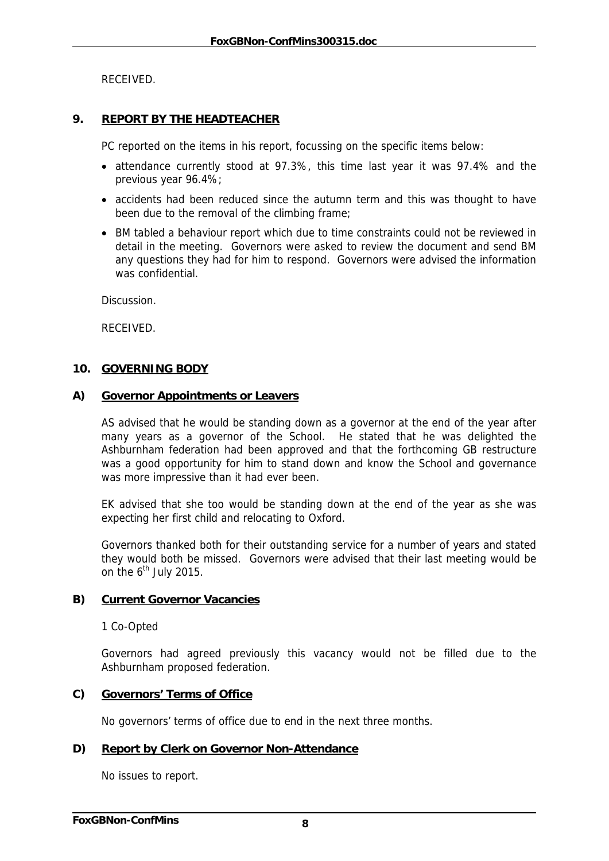RECEIVED.

#### **9. REPORT BY THE HEADTEACHER**

PC reported on the items in his report, focussing on the specific items below:

- attendance currently stood at 97.3%, this time last year it was 97.4% and the previous year 96.4%;
- accidents had been reduced since the autumn term and this was thought to have been due to the removal of the climbing frame;
- BM tabled a behaviour report which due to time constraints could not be reviewed in detail in the meeting. Governors were asked to review the document and send BM any questions they had for him to respond. Governors were advised the information was confidential.

**Discussion** 

RECEIVED.

#### **10. GOVERNING BODY**

#### **A) Governor Appointments or Leavers**

AS advised that he would be standing down as a governor at the end of the year after many years as a governor of the School. He stated that he was delighted the Ashburnham federation had been approved and that the forthcoming GB restructure was a good opportunity for him to stand down and know the School and governance was more impressive than it had ever been.

EK advised that she too would be standing down at the end of the year as she was expecting her first child and relocating to Oxford.

Governors thanked both for their outstanding service for a number of years and stated they would both be missed. Governors were advised that their last meeting would be on the  $6<sup>th</sup>$  July 2015.

#### **B) Current Governor Vacancies**

1 Co-Opted

Governors had agreed previously this vacancy would not be filled due to the Ashburnham proposed federation.

#### **C) Governors' Terms of Office**

No governors' terms of office due to end in the next three months.

#### **D) Report by Clerk on Governor Non-Attendance**

No issues to report.